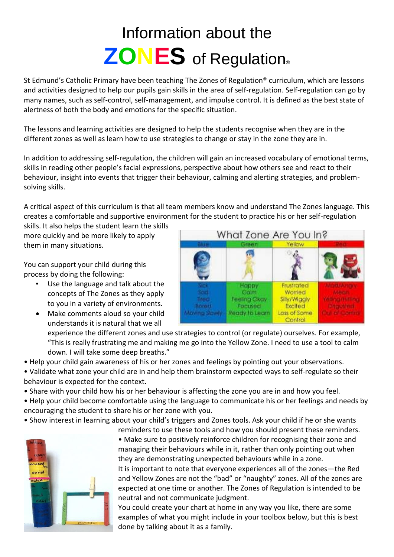## Information about the **ZONES** of Regulation®

St Edmund's Catholic Primary have been teaching The Zones of Regulation® curriculum, which are lessons and activities designed to help our pupils gain skills in the area of self-regulation. Self-regulation can go by many names, such as self-control, self-management, and impulse control. It is defined as the best state of alertness of both the body and emotions for the specific situation.

The lessons and learning activities are designed to help the students recognise when they are in the different zones as well as learn how to use strategies to change or stay in the zone they are in.

In addition to addressing self-regulation, the children will gain an increased vocabulary of emotional terms, skills in reading other people's facial expressions, perspective about how others see and react to their behaviour, insight into events that trigger their behaviour, calming and alerting strategies, and problemsolving skills.

A critical aspect of this curriculum is that all team members know and understand The Zones language. This creates a comfortable and supportive environment for the student to practice his or her self-regulation

skills. It also helps the student learn the skills more quickly and be more likely to apply them in many situations.

You can support your child during this process by doing the following:

- Use the language and talk about the concepts of The Zones as they apply to you in a variety of environments.
- Make comments aloud so your child understands it is natural that we all



experience the different zones and use strategies to control (or regulate) ourselves. For example, "This is really frustrating me and making me go into the Yellow Zone. I need to use a tool to calm down. I will take some deep breaths."

• Help your child gain awareness of his or her zones and feelings by pointing out your observations.

• Validate what zone your child are in and help them brainstorm expected ways to self-regulate so their behaviour is expected for the context.

• Share with your child how his or her behaviour is affecting the zone you are in and how you feel.

• Help your child become comfortable using the language to communicate his or her feelings and needs by encouraging the student to share his or her zone with you.

• Show interest in learning about your child's triggers and Zones tools. Ask your child if he or she wants



reminders to use these tools and how you should present these reminders. • Make sure to positively reinforce children for recognising their zone and managing their behaviours while in it, rather than only pointing out when they are demonstrating unexpected behaviours while in a zone.

It is important to note that everyone experiences all of the zones—the Red and Yellow Zones are not the "bad" or "naughty" zones. All of the zones are expected at one time or another. The Zones of Regulation is intended to be neutral and not communicate judgment.

You could create your chart at home in any way you like, there are some examples of what you might include in your toolbox below, but this is best done by talking about it as a family.